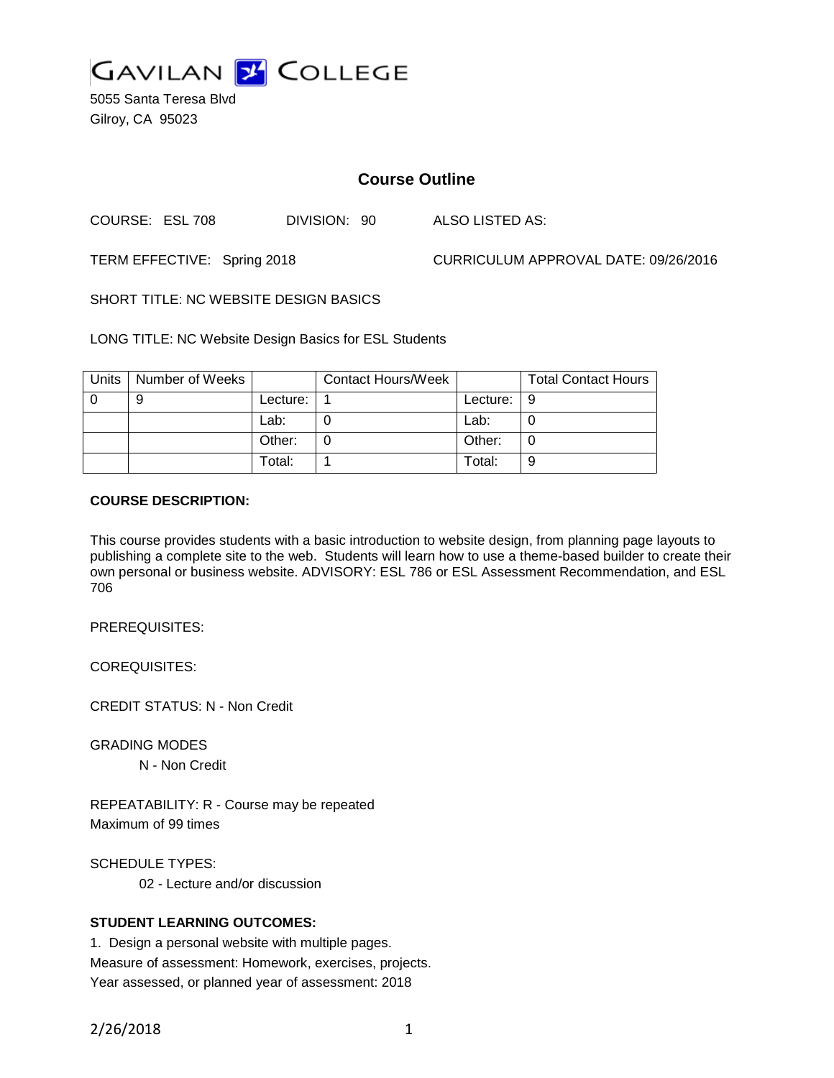

5055 Santa Teresa Blvd Gilroy, CA 95023

# **Course Outline**

COURSE: ESL 708 DIVISION: 90 ALSO LISTED AS:

TERM EFFECTIVE: Spring 2018 CURRICULUM APPROVAL DATE: 09/26/2016

SHORT TITLE: NC WEBSITE DESIGN BASICS

LONG TITLE: NC Website Design Basics for ESL Students

| Units | Number of Weeks |            | <b>Contact Hours/Week</b> |            | <b>Total Contact Hours</b> |
|-------|-----------------|------------|---------------------------|------------|----------------------------|
|       | 9               | Lecture: . |                           | Lecture: I | -9                         |
|       |                 | Lab:       |                           | Lab:       |                            |
|       |                 | Other:     |                           | Other:     |                            |
|       |                 | Total:     |                           | Total:     | 9                          |

#### **COURSE DESCRIPTION:**

This course provides students with a basic introduction to website design, from planning page layouts to publishing a complete site to the web. Students will learn how to use a theme-based builder to create their own personal or business website. ADVISORY: ESL 786 or ESL Assessment Recommendation, and ESL 706

PREREQUISITES:

COREQUISITES:

CREDIT STATUS: N - Non Credit

GRADING MODES

N - Non Credit

REPEATABILITY: R - Course may be repeated Maximum of 99 times

SCHEDULE TYPES:

02 - Lecture and/or discussion

# **STUDENT LEARNING OUTCOMES:**

1. Design a personal website with multiple pages. Measure of assessment: Homework, exercises, projects. Year assessed, or planned year of assessment: 2018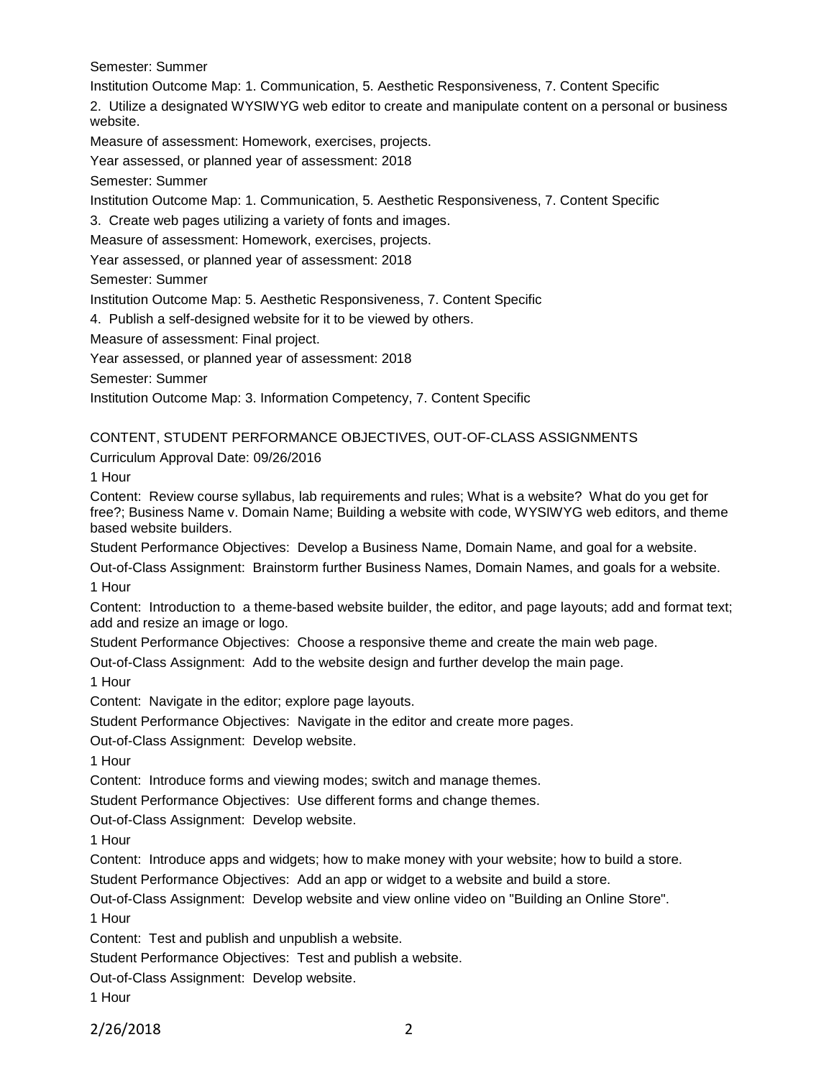Semester: Summer

Institution Outcome Map: 1. Communication, 5. Aesthetic Responsiveness, 7. Content Specific

2. Utilize a designated WYSIWYG web editor to create and manipulate content on a personal or business website.

Measure of assessment: Homework, exercises, projects.

Year assessed, or planned year of assessment: 2018

Semester: Summer

Institution Outcome Map: 1. Communication, 5. Aesthetic Responsiveness, 7. Content Specific

3. Create web pages utilizing a variety of fonts and images.

Measure of assessment: Homework, exercises, projects.

Year assessed, or planned year of assessment: 2018

Semester: Summer

Institution Outcome Map: 5. Aesthetic Responsiveness, 7. Content Specific

4. Publish a self-designed website for it to be viewed by others.

Measure of assessment: Final project.

Year assessed, or planned year of assessment: 2018

Semester: Summer

Institution Outcome Map: 3. Information Competency, 7. Content Specific

#### CONTENT, STUDENT PERFORMANCE OBJECTIVES, OUT-OF-CLASS ASSIGNMENTS

Curriculum Approval Date: 09/26/2016

1 Hour

Content: Review course syllabus, lab requirements and rules; What is a website? What do you get for free?; Business Name v. Domain Name; Building a website with code, WYSIWYG web editors, and theme based website builders.

Student Performance Objectives: Develop a Business Name, Domain Name, and goal for a website.

Out-of-Class Assignment: Brainstorm further Business Names, Domain Names, and goals for a website. 1 Hour

Content: Introduction to a theme-based website builder, the editor, and page layouts; add and format text; add and resize an image or logo.

Student Performance Objectives: Choose a responsive theme and create the main web page.

Out-of-Class Assignment: Add to the website design and further develop the main page.

1 Hour

Content: Navigate in the editor; explore page layouts.

Student Performance Objectives: Navigate in the editor and create more pages.

Out-of-Class Assignment: Develop website.

1 Hour

Content: Introduce forms and viewing modes; switch and manage themes.

Student Performance Objectives: Use different forms and change themes.

Out-of-Class Assignment: Develop website.

1 Hour

Content: Introduce apps and widgets; how to make money with your website; how to build a store.

Student Performance Objectives: Add an app or widget to a website and build a store.

Out-of-Class Assignment: Develop website and view online video on "Building an Online Store".

1 Hour

Content: Test and publish and unpublish a website.

Student Performance Objectives: Test and publish a website.

Out-of-Class Assignment: Develop website.

1 Hour

2/26/2018 2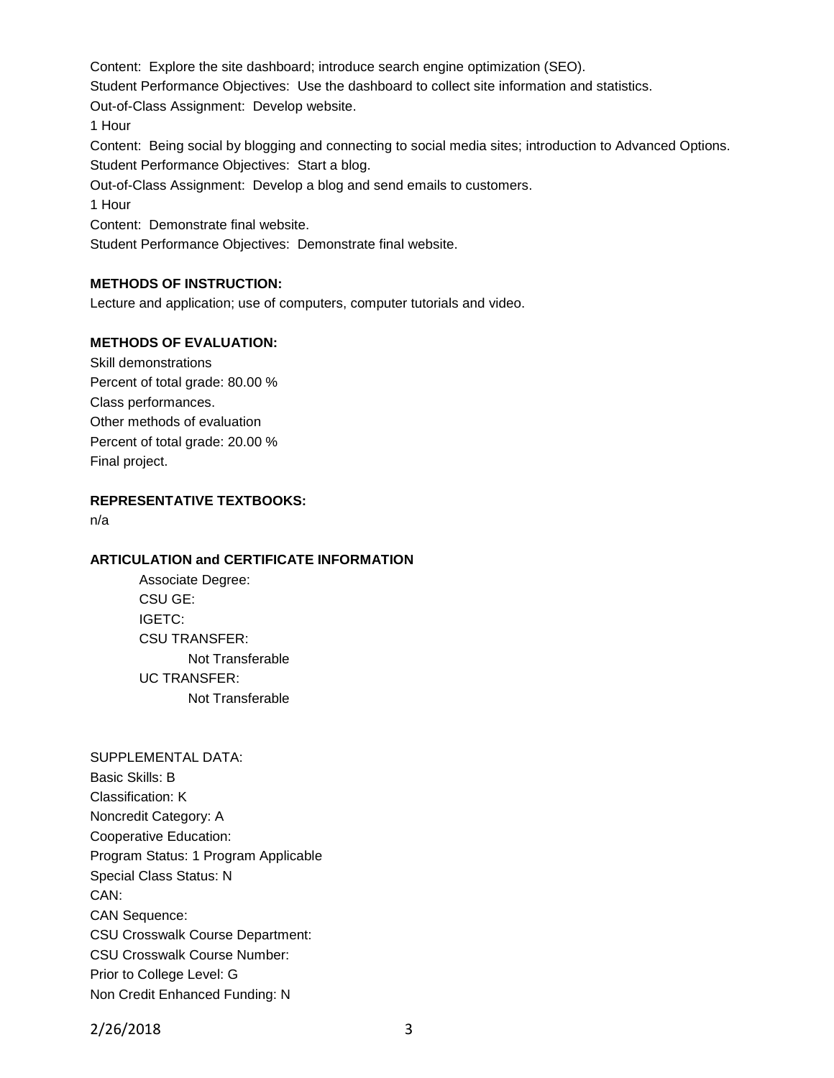Content: Explore the site dashboard; introduce search engine optimization (SEO).

Student Performance Objectives: Use the dashboard to collect site information and statistics.

Out-of-Class Assignment: Develop website.

1 Hour

Content: Being social by blogging and connecting to social media sites; introduction to Advanced Options.

Student Performance Objectives: Start a blog.

Out-of-Class Assignment: Develop a blog and send emails to customers.

1 Hour

Content: Demonstrate final website.

Student Performance Objectives: Demonstrate final website.

# **METHODS OF INSTRUCTION:**

Lecture and application; use of computers, computer tutorials and video.

# **METHODS OF EVALUATION:**

Skill demonstrations Percent of total grade: 80.00 % Class performances. Other methods of evaluation Percent of total grade: 20.00 % Final project.

**REPRESENTATIVE TEXTBOOKS:**

n/a

#### **ARTICULATION and CERTIFICATE INFORMATION**

Associate Degree: CSU GE: IGETC: CSU TRANSFER: Not Transferable UC TRANSFER: Not Transferable

SUPPLEMENTAL DATA: Basic Skills: B Classification: K Noncredit Category: A Cooperative Education: Program Status: 1 Program Applicable Special Class Status: N CAN: CAN Sequence: CSU Crosswalk Course Department: CSU Crosswalk Course Number: Prior to College Level: G Non Credit Enhanced Funding: N

2/26/2018 3